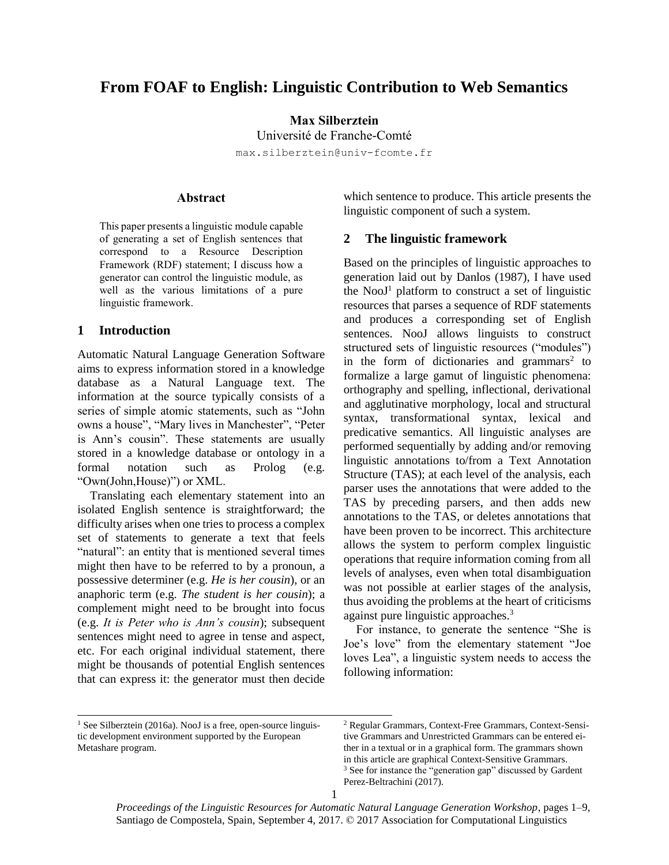# **From FOAF to English: Linguistic Contribution to Web Semantics**

**Max Silberztein**

Université de Franche-Comté

max.silberztein@univ-fcomte.fr

### **Abstract**

This paper presents a linguistic module capable of generating a set of English sentences that correspond to a Resource Description Framework (RDF) statement; I discuss how a generator can control the linguistic module, as well as the various limitations of a pure linguistic framework.

# **1 Introduction**

Automatic Natural Language Generation Software aims to express information stored in a knowledge database as a Natural Language text. The information at the source typically consists of a series of simple atomic statements, such as "John owns a house", "Mary lives in Manchester", "Peter is Ann's cousin". These statements are usually stored in a knowledge database or ontology in a formal notation such as Prolog (e.g. "Own(John,House)") or XML.

Translating each elementary statement into an isolated English sentence is straightforward; the difficulty arises when one tries to process a complex set of statements to generate a text that feels "natural": an entity that is mentioned several times might then have to be referred to by a pronoun, a possessive determiner (e.g. *He is her cousin*), or an anaphoric term (e.g. *The student is her cousin*); a complement might need to be brought into focus (e.g. *It is Peter who is Ann's cousin*); subsequent sentences might need to agree in tense and aspect, etc. For each original individual statement, there might be thousands of potential English sentences that can express it: the generator must then decide

which sentence to produce. This article presents the linguistic component of such a system.

#### **2 The linguistic framework**

Based on the principles of linguistic approaches to generation laid out by Danlos (1987), I have used the  $NooJ<sup>1</sup>$  platform to construct a set of linguistic resources that parses a sequence of RDF statements and produces a corresponding set of English sentences. NooJ allows linguists to construct structured sets of linguistic resources ("modules") in the form of dictionaries and grammars<sup>2</sup> to formalize a large gamut of linguistic phenomena: orthography and spelling, inflectional, derivational and agglutinative morphology, local and structural syntax, transformational syntax, lexical and predicative semantics. All linguistic analyses are performed sequentially by adding and/or removing linguistic annotations to/from a Text Annotation Structure (TAS); at each level of the analysis, each parser uses the annotations that were added to the TAS by preceding parsers, and then adds new annotations to the TAS, or deletes annotations that have been proven to be incorrect. This architecture allows the system to perform complex linguistic operations that require information coming from all levels of analyses, even when total disambiguation was not possible at earlier stages of the analysis, thus avoiding the problems at the heart of criticisms against pure linguistic approaches.<sup>3</sup>

For instance, to generate the sentence "She is Joe's love" from the elementary statement "Joe loves Lea", a linguistic system needs to access the following information:

l

<sup>&</sup>lt;sup>1</sup> See Silberztein (2016a). NooJ is a free, open-source linguistic development environment supported by the European Metashare program.

<sup>2</sup> Regular Grammars, Context-Free Grammars, Context-Sensitive Grammars and Unrestricted Grammars can be entered either in a textual or in a graphical form. The grammars shown in this article are graphical Context-Sensitive Grammars. <sup>3</sup> See for instance the "generation gap" discussed by Gardent Perez-Beltrachini (2017).

*Proceedings of the Linguistic Resources for Automatic Natural Language Generation Workshop*, pages 1–9, Santiago de Compostela, Spain, September 4, 2017. © 2017 Association for Computational Linguistics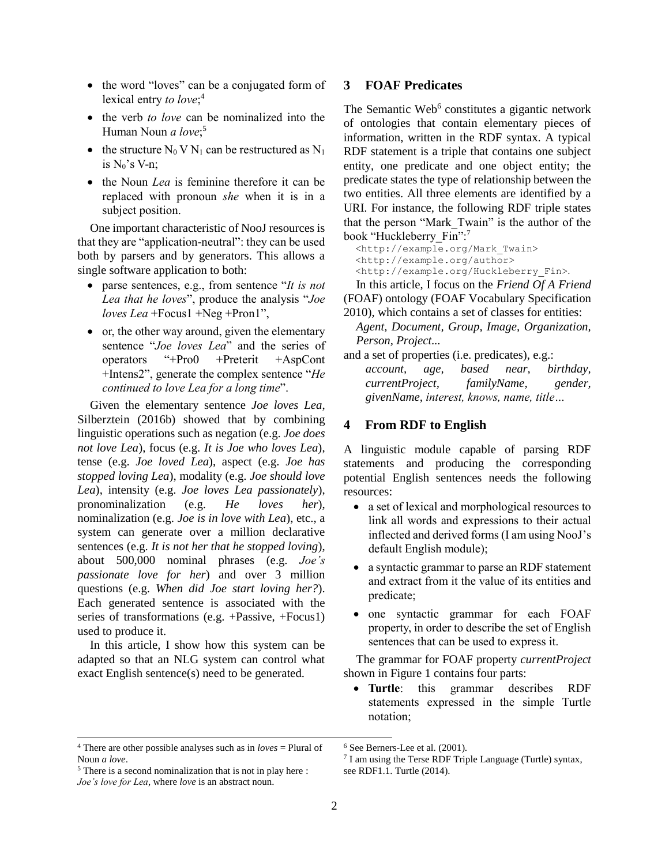- the word "loves" can be a conjugated form of lexical entry *to love*; 4
- the verb *to love* can be nominalized into the Human Noun *a love*; 5
- the structure  $N_0$  V  $N_1$  can be restructured as  $N_1$ is  $N_0$ 's V-n:
- the Noun *Lea* is feminine therefore it can be replaced with pronoun *she* when it is in a subject position.

One important characteristic of NooJ resources is that they are "application-neutral": they can be used both by parsers and by generators. This allows a single software application to both:

- parse sentences, e.g., from sentence "*It is not Lea that he loves*", produce the analysis "*Joe loves Lea* +Focus1 +Neg +Pron1",
- or, the other way around, given the elementary sentence "*Joe loves Lea*" and the series of operators "+Pro0 +Preterit +AspCont +Intens2", generate the complex sentence "*He continued to love Lea for a long time*".

Given the elementary sentence *Joe loves Lea*, Silberztein (2016b) showed that by combining linguistic operations such as negation (e.g. *Joe does not love Lea*), focus (e.g. *It is Joe who loves Lea*), tense (e.g. *Joe loved Lea*), aspect (e.g. *Joe has stopped loving Lea*), modality (e.g. *Joe should love Lea*), intensity (e.g. *Joe loves Lea passionately*), pronominalization (e.g. *He loves her*), nominalization (e.g. *Joe is in love with Lea*), etc., a system can generate over a million declarative sentences (e.g. *It is not her that he stopped loving*), about 500,000 nominal phrases (e.g. *Joe's passionate love for her*) and over 3 million questions (e.g. *When did Joe start loving her?*). Each generated sentence is associated with the series of transformations (e.g. +Passive, +Focus1) used to produce it.

In this article, I show how this system can be adapted so that an NLG system can control what exact English sentence(s) need to be generated.

### **3 FOAF Predicates**

The Semantic Web<sup>6</sup> constitutes a gigantic network of ontologies that contain elementary pieces of information, written in the RDF syntax. A typical RDF statement is a triple that contains one subject entity, one predicate and one object entity; the predicate states the type of relationship between the two entities. All three elements are identified by a URI. For instance, the following RDF triple states that the person "Mark\_Twain" is the author of the book "Huckleberry\_Fin":7

 [<http://example.org/Mark\\_Twain>](http://example.org/Mark_Twain) [<http://example.org/author>](http://example.org/author) <http://example.org/Huckleberry\_Fin>.

In this article, I focus on the *Friend Of A Friend* (FOAF) ontology (FOAF Vocabulary Specification 2010), which contains a set of classes for entities:

*Agent, Document, Group, Image, Organization, Person, Project...*

and a set of properties (i.e. predicates), e.g.:

*account, age, based near, birthday, currentProject, familyName, gender, givenName, interest, knows, name, title…*

#### **4 From RDF to English**

A linguistic module capable of parsing RDF statements and producing the corresponding potential English sentences needs the following resources:

- a set of lexical and morphological resources to link all words and expressions to their actual inflected and derived forms (I am using NooJ's default English module);
- a syntactic grammar to parse an RDF statement and extract from it the value of its entities and predicate;
- one syntactic grammar for each FOAF property, in order to describe the set of English sentences that can be used to express it.

The grammar for FOAF property *currentProject* shown in [Figure 1](#page-2-0) contains four parts:

 **Turtle**: this grammar describes RDF statements expressed in the simple Turtle notation;

l

 $4$  There are other possible analyses such as in *loves* = Plural of Noun *a love*.

<sup>6</sup> See Berners-Lee et al. (2001).

<sup>7</sup> I am using the Terse RDF Triple Language (Turtle) syntax, see RDF1.1. Turtle (2014).

<sup>5</sup> There is a second nominalization that is not in play here : *Joe's love for Lea*, where *love* is an abstract noun.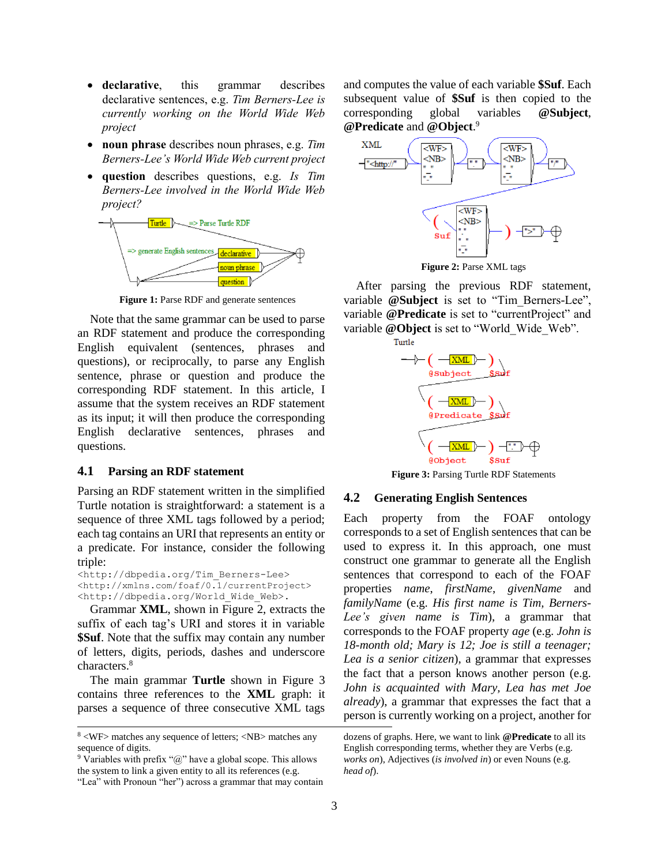- **declarative**, this grammar describes declarative sentences, e.g. *Tim Berners-Lee is currently working on the World Wide Web project*
- **noun phrase** describes noun phrases, e.g. *Tim Berners-Lee's World Wide Web current project*
- **question** describes questions, e.g. *Is Tim Berners-Lee involved in the World Wide Web project?*



**Figure 1:** Parse RDF and generate sentences

<span id="page-2-0"></span>Note that the same grammar can be used to parse an RDF statement and produce the corresponding English equivalent (sentences, phrases and questions), or reciprocally, to parse any English sentence, phrase or question and produce the corresponding RDF statement. In this article, I assume that the system receives an RDF statement as its input; it will then produce the corresponding English declarative sentences, phrases and questions.

#### **4.1 Parsing an RDF statement**

Parsing an RDF statement written in the simplified Turtle notation is straightforward: a statement is a sequence of three XML tags followed by a period; each tag contains an URI that represents an entity or a predicate. For instance, consider the following triple:

<http://dbpedia.org/Tim\_Berners-Lee> <http://xmlns.com/foaf/0.1/currentProject> <http://dbpedia.org/World\_Wide\_Web>.

Grammar **XML**, shown in [Figure 2,](#page-2-1) extracts the suffix of each tag's URI and stores it in variable **\$Suf**. Note that the suffix may contain any number of letters, digits, periods, dashes and underscore characters.<sup>8</sup>

The main grammar **Turtle** shown in [Figure 3](#page-2-2) contains three references to the **XML** graph: it parses a sequence of three consecutive XML tags

l

 $9$  Variables with prefix " $@$ " have a global scope. This allows the system to link a given entity to all its references (e.g. "Lea" with Pronoun "her") across a grammar that may contain and computes the value of each variable **\$Suf**. Each subsequent value of **\$Suf** is then copied to the corresponding global variables **@Subject**, **@Predicate** and **@Object**. 9



**Figure 2:** Parse XML tags

<span id="page-2-1"></span>After parsing the previous RDF statement, variable **@Subject** is set to "Tim\_Berners-Lee", variable **@Predicate** is set to "currentProject" and variable @Object is set to "World\_Wide\_Web".



**Figure 3:** Parsing Turtle RDF Statements

#### <span id="page-2-2"></span>**4.2 Generating English Sentences**

Each property from the FOAF ontology corresponds to a set of English sentences that can be used to express it. In this approach, one must construct one grammar to generate all the English sentences that correspond to each of the FOAF properties *name*, *firstName*, *givenName* and *familyName* (e.g. *His first name is Tim, Berners-Lee's given name is Tim*), a grammar that corresponds to the FOAF property *age* (e.g. *John is 18-month old; Mary is 12; Joe is still a teenager; Lea is a senior citizen*), a grammar that expresses the fact that a person knows another person (e.g. *John is acquainted with Mary, Lea has met Joe already*), a grammar that expresses the fact that a person is currently working on a project, another for

<sup>8</sup> <WF> matches any sequence of letters; <NB> matches any sequence of digits.

dozens of graphs. Here, we want to link **@Predicate** to all its English corresponding terms, whether they are Verbs (e.g. *works on*), Adjectives (*is involved in*) or even Nouns (e.g. *head of*).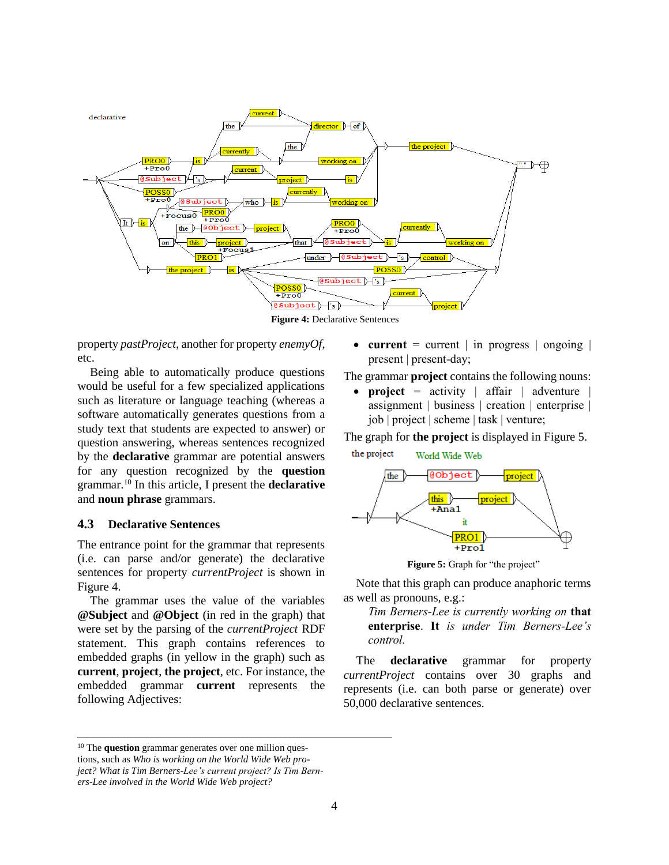

**Figure 4:** Declarative Sentences

<span id="page-3-0"></span>property *pastProject*, another for property *enemyOf*, etc.

Being able to automatically produce questions would be useful for a few specialized applications such as literature or language teaching (whereas a software automatically generates questions from a study text that students are expected to answer) or question answering, whereas sentences recognized by the **declarative** grammar are potential answers for any question recognized by the **question** grammar.<sup>10</sup> In this article, I present the **declarative** and **noun phrase** grammars.

### **4.3 Declarative Sentences**

l

The entrance point for the grammar that represents (i.e. can parse and/or generate) the declarative sentences for property *currentProject* is shown in [Figure 4.](#page-3-0)

The grammar uses the value of the variables **@Subject** and **@Object** (in red in the graph) that were set by the parsing of the *currentProject* RDF statement. This graph contains references to embedded graphs (in yellow in the graph) such as **current**, **project**, **the project**, etc. For instance, the embedded grammar **current** represents the following Adjectives:

**current** = current  $\vert$  in progress  $\vert$  ongoing  $\vert$ present | present-day;

The grammar **project** contains the following nouns:

 **project** = activity | affair | adventure | assignment | business | creation | enterprise | job | project | scheme | task | venture;

The graph for **the project** is displayed in [Figure 5.](#page-3-1)



Figure 5: Graph for "the project"

<span id="page-3-1"></span>Note that this graph can produce anaphoric terms as well as pronouns, e.g.:

*Tim Berners-Lee is currently working on* **that enterprise**. **It** *is under Tim Berners-Lee's control.*

The **declarative** grammar for property *currentProject* contains over 30 graphs and represents (i.e. can both parse or generate) over 50,000 declarative sentences.

<sup>&</sup>lt;sup>10</sup> The question grammar generates over one million questions, such as *Who is working on the World Wide Web project? What is Tim Berners-Lee's current project? Is Tim Berners-Lee involved in the World Wide Web project?*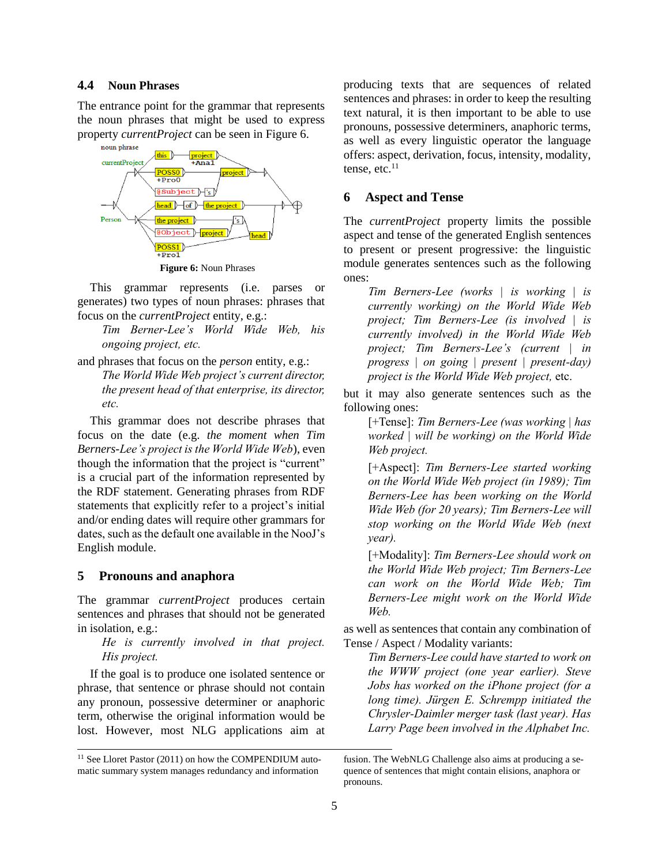#### **4.4 Noun Phrases**

The entrance point for the grammar that represents the noun phrases that might be used to express property *currentProject* can be seen in [Figure 6.](#page-4-0)



**Figure 6:** Noun Phrases

<span id="page-4-0"></span>This grammar represents (i.e. parses or generates) two types of noun phrases: phrases that focus on the *currentProject* entity, e.g.:

*Tim Berner-Lee's World Wide Web, his ongoing project, etc.*

and phrases that focus on the *person* entity, e.g.:

*The World Wide Web project's current director, the present head of that enterprise, its director, etc.*

This grammar does not describe phrases that focus on the date (e.g. *the moment when Tim Berners-Lee's project is the World Wide Web*), even though the information that the project is "current" is a crucial part of the information represented by the RDF statement. Generating phrases from RDF statements that explicitly refer to a project's initial and/or ending dates will require other grammars for dates, such as the default one available in the NooJ's English module.

#### **5 Pronouns and anaphora**

l

The grammar *currentProject* produces certain sentences and phrases that should not be generated in isolation, e.g.:

*He is currently involved in that project. His project.*

If the goal is to produce one isolated sentence or phrase, that sentence or phrase should not contain any pronoun, possessive determiner or anaphoric term, otherwise the original information would be lost. However, most NLG applications aim at

<sup>11</sup> See Lloret Pastor (2011) on how the COMPENDIUM automatic summary system manages redundancy and information

producing texts that are sequences of related sentences and phrases: in order to keep the resulting text natural, it is then important to be able to use pronouns, possessive determiners, anaphoric terms, as well as every linguistic operator the language offers: aspect, derivation, focus, intensity, modality, tense, etc. $11$ 

# **6 Aspect and Tense**

The *currentProject* property limits the possible aspect and tense of the generated English sentences to present or present progressive: the linguistic module generates sentences such as the following ones:

*Tim Berners-Lee (works | is working | is currently working) on the World Wide Web project; Tim Berners-Lee (is involved | is currently involved) in the World Wide Web project; Tim Berners-Lee's (current | in progress | on going | present | present-day) project is the World Wide Web project,* etc.

but it may also generate sentences such as the following ones:

[+Tense]: *Tim Berners-Lee (was working | has worked | will be working) on the World Wide Web project.*

[+Aspect]: *Tim Berners-Lee started working on the World Wide Web project (in 1989); Tim Berners-Lee has been working on the World Wide Web (for 20 years); Tim Berners-Lee will stop working on the World Wide Web (next year).*

[+Modality]: *Tim Berners-Lee should work on the World Wide Web project; Tim Berners-Lee can work on the World Wide Web; Tim Berners-Lee might work on the World Wide Web.*

as well as sentences that contain any combination of Tense / Aspect / Modality variants:

*Tim Berners-Lee could have started to work on the WWW project (one year earlier). Steve Jobs has worked on the iPhone project (for a long time). Jürgen E. Schrempp initiated the Chrysler-Daimler merger task (last year). Has Larry Page been involved in the Alphabet Inc.* 

fusion. The WebNLG Challenge also aims at producing a sequence of sentences that might contain elisions, anaphora or pronouns.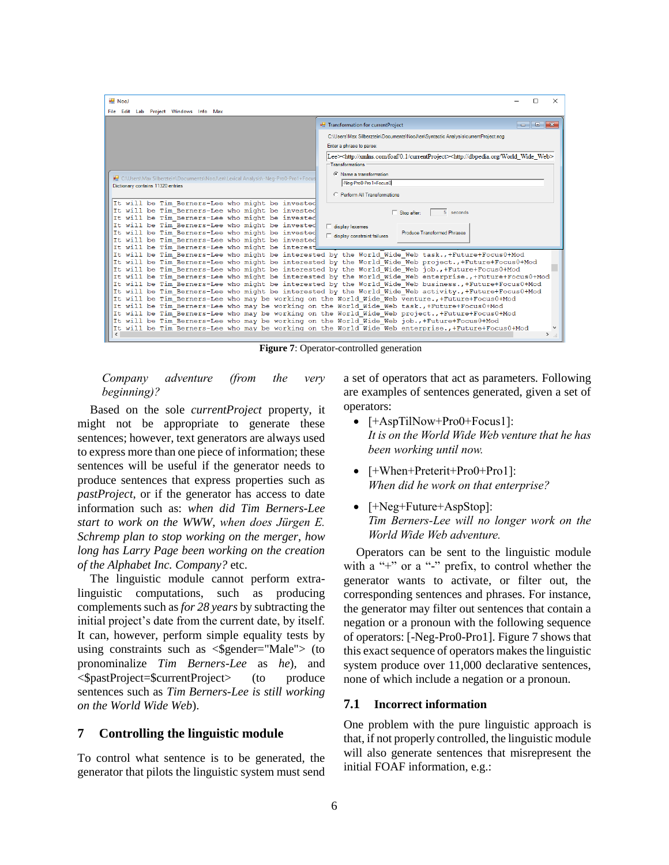| <b>RE</b> NooJ<br>File Edit Lab Project Windows Info Max                                                                     | п                                                                                                                                                                                                                                                                                                                                                                                                                                                           |               | $\times$ |
|------------------------------------------------------------------------------------------------------------------------------|-------------------------------------------------------------------------------------------------------------------------------------------------------------------------------------------------------------------------------------------------------------------------------------------------------------------------------------------------------------------------------------------------------------------------------------------------------------|---------------|----------|
| <b>P</b> Transformation for currentProject                                                                                   | $\begin{array}{c c c c c c} \hline \multicolumn{3}{c }{\mathbf{C}} & \multicolumn{3}{c }{\mathbf{D}} & \multicolumn{3}{c }{\mathbf{X}} \\\hline \multicolumn{3}{c }{\mathbf{C}} & \multicolumn{3}{c }{\mathbf{D}} & \multicolumn{3}{c }{\mathbf{X}} \\\hline \multicolumn{3}{c }{\mathbf{D}} & \multicolumn{3}{c }{\mathbf{D}} & \multicolumn{3}{c }{\mathbf{X}} \\\hline \multicolumn{3}{c }{\mathbf{D}} & \multicolumn{3}{c }{\mathbf{D}} & \multicolumn$ |               |          |
|                                                                                                                              |                                                                                                                                                                                                                                                                                                                                                                                                                                                             |               |          |
| C:\Users\Max Silberztein\Documents\NooJ\en\Syntactic Analysis\currentProject.nog                                             |                                                                                                                                                                                                                                                                                                                                                                                                                                                             |               |          |
| Enter a phrase to parse:                                                                                                     |                                                                                                                                                                                                                                                                                                                                                                                                                                                             |               |          |
| Lee> <http: 0.1="" currentproject="" foaf="" xmlns.com=""><http: dbpedia.org="" web="" wide="" world=""></http:></http:>     |                                                                                                                                                                                                                                                                                                                                                                                                                                                             |               |          |
| -Transformations                                                                                                             |                                                                                                                                                                                                                                                                                                                                                                                                                                                             |               |          |
| C Name a transformation                                                                                                      |                                                                                                                                                                                                                                                                                                                                                                                                                                                             |               |          |
| ■ C:\Users\Max Silberztein\Documents\NooJ\en\Lexical Analysis\-Neq-Pro0-Pro1+Focus<br>-Neg-Pro0-Pro1+Focus0                  |                                                                                                                                                                                                                                                                                                                                                                                                                                                             |               |          |
| Dictionary contains 11320 entries                                                                                            |                                                                                                                                                                                                                                                                                                                                                                                                                                                             |               |          |
| C Perform All Transformations                                                                                                |                                                                                                                                                                                                                                                                                                                                                                                                                                                             |               |          |
| It will be Tim Berners-Lee who might be invested                                                                             |                                                                                                                                                                                                                                                                                                                                                                                                                                                             |               |          |
| It will be Tim Berners-Lee who might be invested<br>5 seconds<br>$\Box$ Stop after:                                          |                                                                                                                                                                                                                                                                                                                                                                                                                                                             |               |          |
| It will be Tim Berners-Lee who might be invested                                                                             |                                                                                                                                                                                                                                                                                                                                                                                                                                                             |               |          |
| It will be Tim Berners-Lee who might be invested<br>$\Box$ display lexemes                                                   |                                                                                                                                                                                                                                                                                                                                                                                                                                                             |               |          |
| It will be Tim Berners-Lee who might be invested<br><b>Produce Transformed Phrases</b><br>$\Box$ display constraint failures |                                                                                                                                                                                                                                                                                                                                                                                                                                                             |               |          |
| It will be Tim Berners-Lee who might be invested<br>It will be Tim Berners-Lee who might be interest                         |                                                                                                                                                                                                                                                                                                                                                                                                                                                             |               |          |
| It will be Tim Berners-Lee who might be interested by the World Wide Web task., +Future+Focus0+Mod                           |                                                                                                                                                                                                                                                                                                                                                                                                                                                             |               |          |
| It will be Tim Berners-Lee who might be interested by the World Wide Web project., +Future+Focus0+Mod                        |                                                                                                                                                                                                                                                                                                                                                                                                                                                             |               |          |
| It will be Tim Berners-Lee who might be interested by the World Wide Web job., +Future+Focus0+Mod                            |                                                                                                                                                                                                                                                                                                                                                                                                                                                             |               |          |
| It will be Tim Berners-Lee who might be interested by the World Wide Web enterprise., +Future+Focus0+Mod                     |                                                                                                                                                                                                                                                                                                                                                                                                                                                             |               |          |
| It will be Tim Berners-Lee who might be interested by the World Wide Web business., +Future+Focus0+Mod                       |                                                                                                                                                                                                                                                                                                                                                                                                                                                             |               |          |
| It will be Tim Berners-Lee who might be interested by the World Wide Web activity., +Future+Focus0+Mod                       |                                                                                                                                                                                                                                                                                                                                                                                                                                                             |               |          |
| It will be Tim Berners-Lee who may be working on the World Wide Web venture., +Future+Focus0+Mod                             |                                                                                                                                                                                                                                                                                                                                                                                                                                                             |               |          |
| It will be Tim Berners-Lee who may be working on the World Wide Web task., +Future+Focus0+Mod                                |                                                                                                                                                                                                                                                                                                                                                                                                                                                             |               |          |
| It will be Tim Berners-Lee who may be working on the World Wide Web project., +Future+Focus0+Mod                             |                                                                                                                                                                                                                                                                                                                                                                                                                                                             |               |          |
| It will be Tim Berners-Lee who may be working on the World Wide Web job., +Future+Focus0+Mod                                 |                                                                                                                                                                                                                                                                                                                                                                                                                                                             |               |          |
| It will be Tim Berners-Lee who may be working on the World Wide Web enterprise., +Future+Focus0+Mod<br>$\epsilon$            |                                                                                                                                                                                                                                                                                                                                                                                                                                                             | $\rightarrow$ |          |

**Figure 7**: Operator-controlled generation

# <span id="page-5-0"></span>*Company adventure (from the very beginning)?*

Based on the sole *currentProject* property, it might not be appropriate to generate these sentences; however, text generators are always used to express more than one piece of information; these sentences will be useful if the generator needs to produce sentences that express properties such as *pastProject*, or if the generator has access to date information such as: *when did Tim Berners-Lee start to work on the WWW*, *when does Jürgen E. Schremp plan to stop working on the merger*, *how long has Larry Page been working on the creation of the Alphabet Inc. Company?* etc.

The linguistic module cannot perform extralinguistic computations, such as producing complements such as *for 28 years* by subtracting the initial project's date from the current date, by itself. It can, however, perform simple equality tests by using constraints such as  $\leq$  \$gender="Male"> (to pronominalize *Tim Berners-Lee* as *he*)*,* and <\$pastProject=\$currentProject> (to produce sentences such as *Tim Berners-Lee is still working on the World Wide Web*).

# **7 Controlling the linguistic module**

To control what sentence is to be generated, the generator that pilots the linguistic system must send a set of operators that act as parameters. Following are examples of sentences generated, given a set of operators:

- [+AspTilNow+Pro0+Focus1]: *It is on the World Wide Web venture that he has been working until now.*
- [+When+Preterit+Pro0+Pro1]: *When did he work on that enterprise?*
- [+Neg+Future+AspStop]: *Tim Berners-Lee will no longer work on the World Wide Web adventure.*

Operators can be sent to the linguistic module with a "+" or a "-" prefix, to control whether the generator wants to activate, or filter out, the corresponding sentences and phrases. For instance, the generator may filter out sentences that contain a negation or a pronoun with the following sequence of operators: [-Neg-Pro0-Pro1][. Figure 7](#page-5-0) shows that this exact sequence of operators makes the linguistic system produce over 11,000 declarative sentences, none of which include a negation or a pronoun.

#### **7.1 Incorrect information**

One problem with the pure linguistic approach is that, if not properly controlled, the linguistic module will also generate sentences that misrepresent the initial FOAF information, e.g.: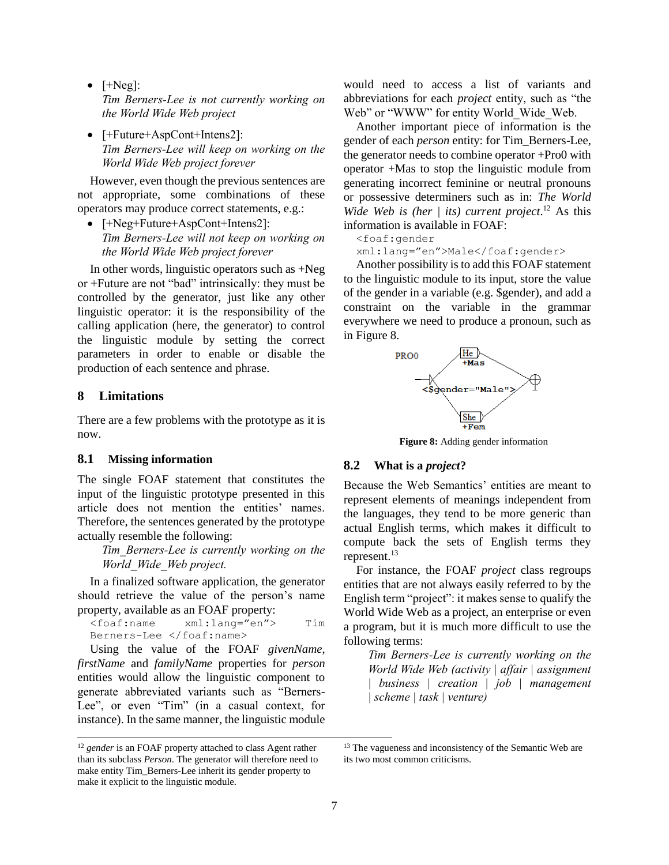- $\bullet$  [+Neg]: *Tim Berners-Lee is not currently working on the World Wide Web project*
- [+Future+AspCont+Intens2]: *Tim Berners-Lee will keep on working on the World Wide Web project forever*

However, even though the previous sentences are not appropriate, some combinations of these operators may produce correct statements, e.g.:

• [+Neg+Future+AspCont+Intens2]: *Tim Berners-Lee will not keep on working on the World Wide Web project forever*

In other words, linguistic operators such as +Neg or +Future are not "bad" intrinsically: they must be controlled by the generator, just like any other linguistic operator: it is the responsibility of the calling application (here, the generator) to control the linguistic module by setting the correct parameters in order to enable or disable the production of each sentence and phrase.

# **8 Limitations**

l

There are a few problems with the prototype as it is now.

### **8.1 Missing information**

The single FOAF statement that constitutes the input of the linguistic prototype presented in this article does not mention the entities' names. Therefore, the sentences generated by the prototype actually resemble the following:

> *Tim\_Berners-Lee is currently working on the World\_Wide\_Web project.*

In a finalized software application, the generator should retrieve the value of the person's name property, available as an FOAF property:

<foaf:name xml:lang="en"> Tim Berners-Lee </foaf:name>

Using the value of the FOAF *givenName*, *firstName* and *familyName* properties for *person* entities would allow the linguistic component to generate abbreviated variants such as "Berners-Lee", or even "Tim" (in a casual context, for instance). In the same manner, the linguistic module would need to access a list of variants and abbreviations for each *project* entity, such as "the Web" or "WWW" for entity World Wide Web.

Another important piece of information is the gender of each *person* entity: for Tim\_Berners-Lee, the generator needs to combine operator +Pro0 with operator +Mas to stop the linguistic module from generating incorrect feminine or neutral pronouns or possessive determiners such as in: *The World Wide Web is (her | its) current project.*<sup>12</sup> As this information is available in FOAF:

#### <foaf:gender

xml:lang="en">Male</foaf:gender>

Another possibility is to add this FOAF statement to the linguistic module to its input, store the value of the gender in a variable (e.g. \$gender), and add a constraint on the variable in the grammar everywhere we need to produce a pronoun, such as in [Figure 8.](#page-6-0)



**Figure 8:** Adding gender information

#### <span id="page-6-0"></span>**8.2 What is a** *project***?**

Because the Web Semantics' entities are meant to represent elements of meanings independent from the languages, they tend to be more generic than actual English terms, which makes it difficult to compute back the sets of English terms they represent.<sup>13</sup>

For instance, the FOAF *project* class regroups entities that are not always easily referred to by the English term "project": it makes sense to qualify the World Wide Web as a project, an enterprise or even a program, but it is much more difficult to use the following terms:

*Tim Berners-Lee is currently working on the World Wide Web (activity | affair | assignment | business | creation | job | management | scheme | task | venture)*

<sup>&</sup>lt;sup>12</sup> gender is an FOAF property attached to class Agent rather than its subclass *Person*. The generator will therefore need to make entity Tim\_Berners-Lee inherit its gender property to make it explicit to the linguistic module.

<sup>&</sup>lt;sup>13</sup> The vagueness and inconsistency of the Semantic Web are its two most common criticisms.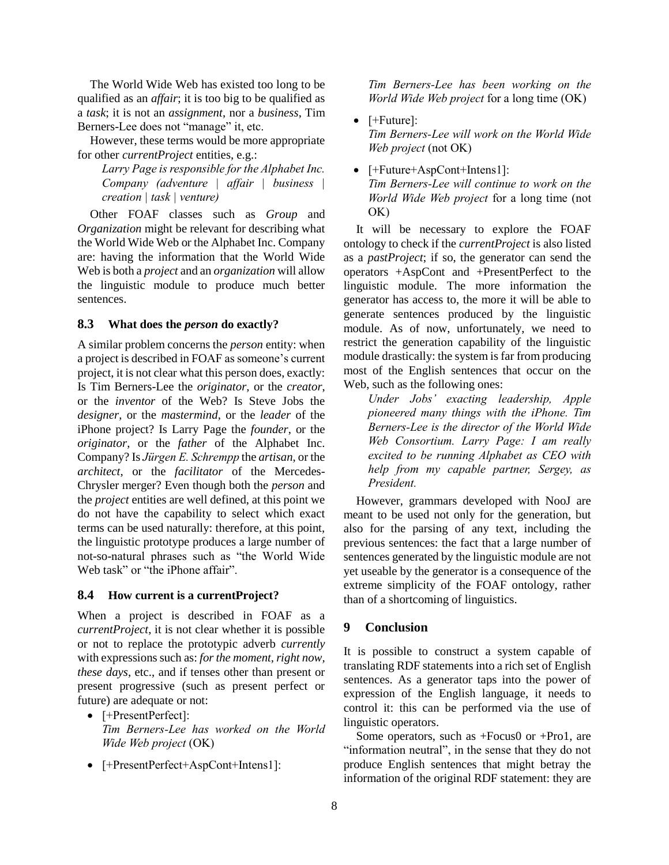The World Wide Web has existed too long to be qualified as an *affair*; it is too big to be qualified as a *task*; it is not an *assignment*, nor a *business*, Tim Berners-Lee does not "manage" it, etc.

However, these terms would be more appropriate for other *currentProject* entities, e.g.:

*Larry Page is responsible for the Alphabet Inc. Company (adventure | affair | business | creation | task | venture)*

Other FOAF classes such as *Group* and *Organization* might be relevant for describing what the World Wide Web or the Alphabet Inc. Company are: having the information that the World Wide Web is both a *project* and an *organization* will allow the linguistic module to produce much better sentences.

# **8.3 What does the** *person* **do exactly?**

A similar problem concerns the *person* entity: when a project is described in FOAF as someone's current project, it is not clear what this person does, exactly: Is Tim Berners-Lee the *originator,* or the *creator*, or the *inventor* of the Web? Is Steve Jobs the *designer*, or the *mastermind*, or the *leader* of the iPhone project? Is Larry Page the *founder*, or the *originator*, or the *father* of the Alphabet Inc. Company? Is *Jürgen E. Schrempp* the *artisan*, or the *architect*, or the *facilitator* of the Mercedes-Chrysler merger? Even though both the *person* and the *project* entities are well defined, at this point we do not have the capability to select which exact terms can be used naturally: therefore, at this point, the linguistic prototype produces a large number of not-so-natural phrases such as "the World Wide Web task" or "the iPhone affair".

# **8.4 How current is a currentProject?**

When a project is described in FOAF as a *currentProject*, it is not clear whether it is possible or not to replace the prototypic adverb *currently* with expressions such as: *for the moment, right now, these days*, etc., and if tenses other than present or present progressive (such as present perfect or future) are adequate or not:

- [+PresentPerfect]: *Tim Berners-Lee has worked on the World Wide Web project* (OK)
- [+PresentPerfect+AspCont+Intens1]:

*Tim Berners-Lee has been working on the World Wide Web project* for a long time (OK)

- $\bullet$  [+Future]: *Tim Berners-Lee will work on the World Wide Web project* (not OK)
- [+Future+AspCont+Intens1]: *Tim Berners-Lee will continue to work on the World Wide Web project* for a long time (not OK)

It will be necessary to explore the FOAF ontology to check if the *currentProject* is also listed as a *pastProject*; if so, the generator can send the operators +AspCont and +PresentPerfect to the linguistic module. The more information the generator has access to, the more it will be able to generate sentences produced by the linguistic module. As of now, unfortunately, we need to restrict the generation capability of the linguistic module drastically: the system is far from producing most of the English sentences that occur on the Web, such as the following ones:

*Under Jobs' exacting leadership, Apple pioneered many things with the iPhone. Tim Berners-Lee is the director of the World Wide Web Consortium. Larry Page: I am really excited to be running Alphabet as CEO with help from my capable partner, Sergey, as President.*

However, grammars developed with NooJ are meant to be used not only for the generation, but also for the parsing of any text, including the previous sentences: the fact that a large number of sentences generated by the linguistic module are not yet useable by the generator is a consequence of the extreme simplicity of the FOAF ontology, rather than of a shortcoming of linguistics.

# **9 Conclusion**

It is possible to construct a system capable of translating RDF statements into a rich set of English sentences. As a generator taps into the power of expression of the English language, it needs to control it: this can be performed via the use of linguistic operators.

Some operators, such as +Focus0 or +Pro1, are "information neutral", in the sense that they do not produce English sentences that might betray the information of the original RDF statement: they are